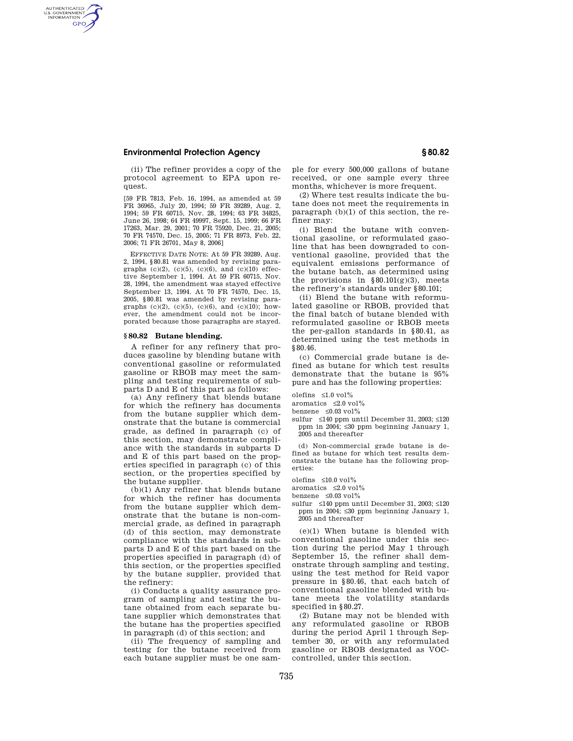## **Environmental Protection Agency § 80.82**

AUTHENTICATED<br>U.S. GOVERNMENT<br>INFORMATION **GPO** 

> (ii) The refiner provides a copy of the protocol agreement to EPA upon request.

> [59 FR 7813, Feb. 16, 1994, as amended at 59 FR 36965, July 20, 1994; 59 FR 39289, Aug. 2, 1994; 59 FR 60715, Nov. 28, 1994; 63 FR 34825, June 26, 1998; 64 FR 49997, Sept. 15, 1999; 66 FR 17263, Mar. 29, 2001; 70 FR 75920, Dec. 21, 2005; 70 FR 74570, Dec. 15, 2005; 71 FR 8973, Feb. 22, 2006; 71 FR 26701, May 8, 2006]

> EFFECTIVE DATE NOTE: At 59 FR 39289, Aug. 2, 1994, §80.81 was amended by revising paragraphs  $(c)(2)$ ,  $(c)(5)$ ,  $(c)(6)$ , and  $(c)(10)$  effective September 1, 1994. At 59 FR 60715, Nov. 28, 1994, the amendment was stayed effective September 13, 1994. At 70 FR 74570, Dec. 15, 2005, §80.81 was amended by revising paragraphs  $(c)(2)$ ,  $(c)(5)$ ,  $(c)(6)$ , and  $(c)(10)$ ; however, the amendment could not be incorporated because those paragraphs are stayed.

### **§ 80.82 Butane blending.**

A refiner for any refinery that produces gasoline by blending butane with conventional gasoline or reformulated gasoline or RBOB may meet the sampling and testing requirements of subparts D and E of this part as follows:

(a) Any refinery that blends butane for which the refinery has documents from the butane supplier which demonstrate that the butane is commercial grade, as defined in paragraph (c) of this section, may demonstrate compliance with the standards in subparts D and E of this part based on the properties specified in paragraph (c) of this section, or the properties specified by the butane supplier.

(b)(1) Any refiner that blends butane for which the refiner has documents from the butane supplier which demonstrate that the butane is non-commercial grade, as defined in paragraph (d) of this section, may demonstrate compliance with the standards in subparts D and E of this part based on the properties specified in paragraph (d) of this section, or the properties specified by the butane supplier, provided that the refinery:

(i) Conducts a quality assurance program of sampling and testing the butane obtained from each separate butane supplier which demonstrates that the butane has the properties specified in paragraph (d) of this section; and

(ii) The frequency of sampling and testing for the butane received from each butane supplier must be one sam-

ple for every 500,000 gallons of butane received, or one sample every three months, whichever is more frequent.

(2) Where test results indicate the butane does not meet the requirements in paragraph (b)(1) of this section, the refiner may:

(i) Blend the butane with conventional gasoline, or reformulated gasoline that has been downgraded to conventional gasoline, provided that the equivalent emissions performance of the butane batch, as determined using the provisions in  $§ 80.101(g)(3)$ , meets the refinery's standards under §80.101;

(ii) Blend the butane with reformulated gasoline or RBOB, provided that the final batch of butane blended with reformulated gasoline or RBOB meets the per-gallon standards in §80.41, as determined using the test methods in §80.46.

(c) Commercial grade butane is defined as butane for which test results demonstrate that the butane is 95% pure and has the following properties:

olefins ≤1.0 vol%

- aromatics  $\leq 2.0$  vol%
- benzene  $\leq 0.03$  vol $\%$
- sulfur ≤140 ppm until December 31, 2003; ≤120 ppm in 2004; ≤30 ppm beginning January 1, 2005 and thereafter

(d) Non-commercial grade butane is defined as butane for which test results demonstrate the butane has the following properties:

olefins ≤10.0 vol%

aromatics  $\leq 2.0$  vol%

benzene ≤0.03 vol%

sulfur ≤140 ppm until December 31, 2003; ≤120 ppm in 2004; ≤30 ppm beginning January 1, 2005 and thereafter

(e)(1) When butane is blended with conventional gasoline under this section during the period May 1 through September 15, the refiner shall demonstrate through sampling and testing, using the test method for Reid vapor pressure in §80.46, that each batch of conventional gasoline blended with butane meets the volatility standards specified in §80.27.

(2) Butane may not be blended with any reformulated gasoline or RBOB during the period April 1 through September 30, or with any reformulated gasoline or RBOB designated as VOCcontrolled, under this section.